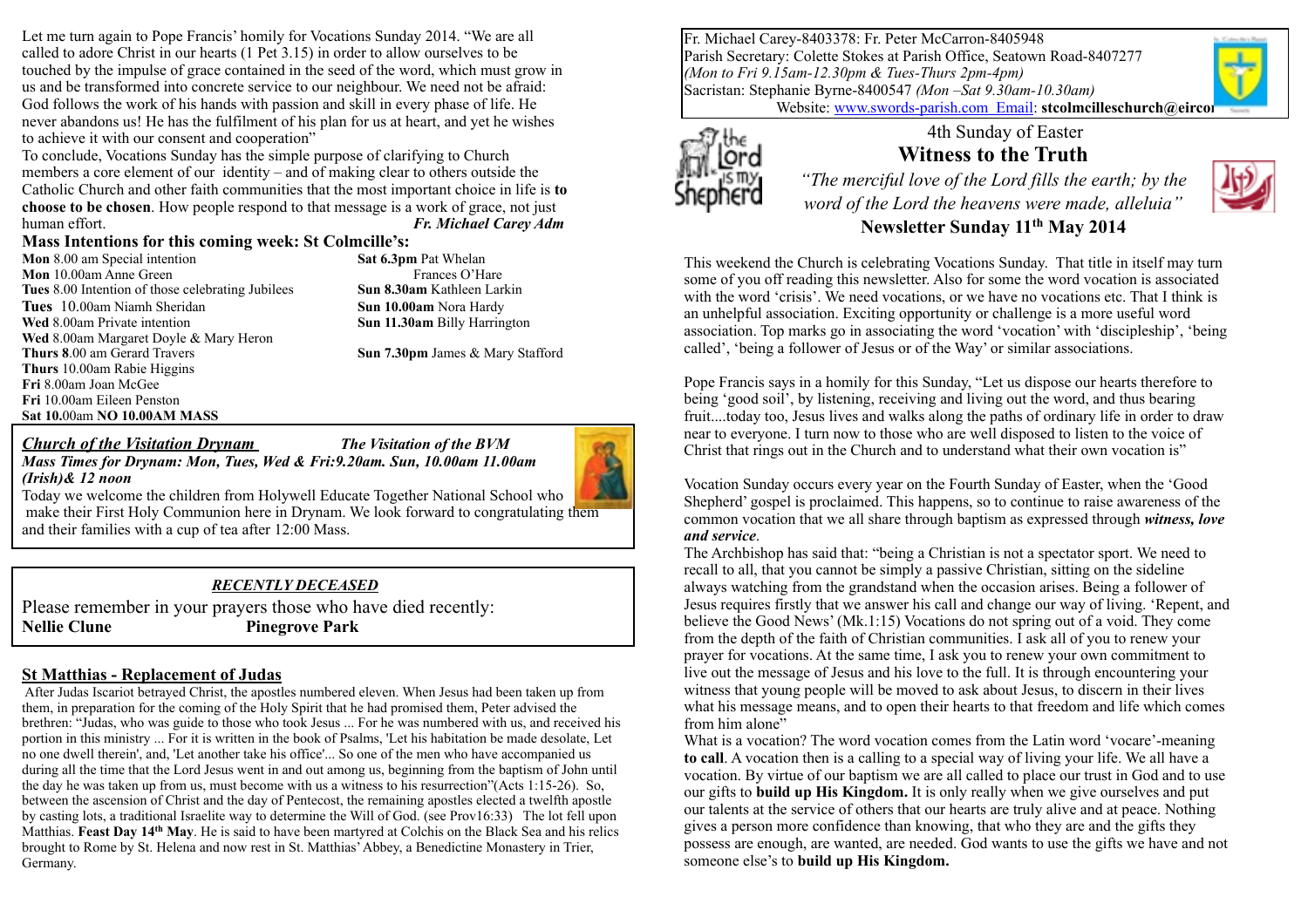Let me turn again to Pope Francis' homily for Vocations Sunday 2014. "We are all called to adore Christ in our hearts (1 Pet 3.15) in order to allow ourselves to be touched by the impulse of grace contained in the seed of the word, which must grow in us and be transformed into concrete service to our neighbour. We need not be afraid: God follows the work of his hands with passion and skill in every phase of life. He never abandons us! He has the fulfilment of his plan for us at heart, and yet he wishes to achieve it with our consent and cooperation"

To conclude, Vocations Sunday has the simple purpose of clarifying to Church members a core element of our identity – and of making clear to others outside the Catholic Church and other faith communities that the most important choice in life is **to choose to be chosen**. How people respond to that message is a work of grace, not just human effort. *Fr. Michael Carey Adm*

# **Mass Intentions for this coming week: St Colmcille's:**<br>Mon 8.00 am Special intention Sat 6.3pm Pat Whelan

**Mon** 8.00 am Special intention **Mon** 10.00am Anne Green **Frances O'Hare Tues** 8.00 Intention of those celebrating Jubilees **Sun 8.30am** Kathleen Larkin **Tues** 10.00am Niamh Sheridan **Sun 10.00am** Nora Hardy **Wed** 8.00am Private intention **Sun 11.30am** Billy Harrington **Wed** 8.00am Margaret Doyle & Mary Heron **Thurs 8**.00 am Gerard Travers **Sun 7.30pm** James & Mary Stafford **Thurs** 10.00am Rabie Higgins **Fri** 8.00am Joan McGee **Fri** 10.00am Eileen Penston **Sat 10.**00am **NO 10.00AM MASS**

#### *Church of the Visitation Drynam The Visitation of the BVM*



*Mass Times for Drynam: Mon, Tues, Wed & Fri:9.20am. Sun, 10.00am 11.00am (Irish)& 12 noon*  Today we welcome the children from Holywell Educate Together National School who

 make their First Holy Communion here in Drynam. We look forward to congratulating them and their families with a cup of tea after 12:00 Mass.

#### *RECENTLY DECEASED*

Please remember in your prayers those who have died recently: **Nellie Clune** Pinegrove Park

#### **St Matthias - Replacement of Judas**

 After Judas Iscariot betrayed Christ, the apostles numbered eleven. When Jesus had been taken up from them, in preparation for the coming of the Holy Spirit that he had promised them, Peter advised the brethren: "Judas, who was guide to those who took Jesus ... For he was numbered with us, and received his portion in this ministry ... For it is written in the book of Psalms, 'Let his habitation be made desolate, Let no one dwell therein', and, 'Let another take his office'... So one of the men who have accompanied us during all the time that the Lord Jesus went in and out among us, beginning from the baptism of John until the day he was taken up from us, must become with us a witness to his resurrection"(Acts 1:15-26). So, between the ascension of Christ and the day of Pentecost, the remaining apostles elected a twelfth apostle by casting lots, a traditional Israelite way to determine the Will of God. (see Prov16:33) The lot fell upon Matthias. **Feast Day 14th May**. He is said to have been martyred at Colchis on the Black Sea and his relics brought to Rome by St. Helena and now rest in St. Matthias' Abbey, a Benedictine Monastery in Trier, Germany.

Fr. Michael Carey-8403378: Fr. Peter McCarron-8405948 Parish Secretary: Colette Stokes at Parish Office, Seatown Road-8407277 *(Mon to Fri 9.15am-12.30pm & Tues-Thurs 2pm-4pm)* Sacristan: Stephanie Byrne-8400547 *(Mon –Sat 9.30am-10.30am)* Website: [www.swords-parish.com Email](http://www.swords-parish.com%20%20email): **stcolmcilleschurch@eircom** 



4th Sunday of Easter **Witness to the Truth** *"The merciful love of the Lord fills the earth; by the word of the Lord the heavens were made, alleluia"*  **Newsletter Sunday 11th May 2014** 



This weekend the Church is celebrating Vocations Sunday. That title in itself may turn some of you off reading this newsletter. Also for some the word vocation is associated with the word 'crisis'. We need vocations, or we have no vocations etc. That I think is an unhelpful association. Exciting opportunity or challenge is a more useful word association. Top marks go in associating the word 'vocation' with 'discipleship', 'being

Pope Francis says in a homily for this Sunday, "Let us dispose our hearts therefore to being 'good soil', by listening, receiving and living out the word, and thus bearing fruit....today too, Jesus lives and walks along the paths of ordinary life in order to draw near to everyone. I turn now to those who are well disposed to listen to the voice of Christ that rings out in the Church and to understand what their own vocation is"

called', 'being a follower of Jesus or of the Way' or similar associations.

Vocation Sunday occurs every year on the Fourth Sunday of Easter, when the 'Good Shepherd' gospel is proclaimed. This happens, so to continue to raise awareness of the common vocation that we all share through baptism as expressed through *witness, love and service*.

The Archbishop has said that: "being a Christian is not a spectator sport. We need to recall to all, that you cannot be simply a passive Christian, sitting on the sideline always watching from the grandstand when the occasion arises. Being a follower of Jesus requires firstly that we answer his call and change our way of living. 'Repent, and believe the Good News' (Mk.1:15) Vocations do not spring out of a void. They come from the depth of the faith of Christian communities. I ask all of you to renew your prayer for vocations. At the same time, I ask you to renew your own commitment to live out the message of Jesus and his love to the full. It is through encountering your witness that young people will be moved to ask about Jesus, to discern in their lives what his message means, and to open their hearts to that freedom and life which comes from him alone"

What is a vocation? The word vocation comes from the Latin word 'vocare'-meaning **to call**. A vocation then is a calling to a special way of living your life. We all have a vocation. By virtue of our baptism we are all called to place our trust in God and to use our gifts to **build up His Kingdom.** It is only really when we give ourselves and put our talents at the service of others that our hearts are truly alive and at peace. Nothing gives a person more confidence than knowing, that who they are and the gifts they possess are enough, are wanted, are needed. God wants to use the gifts we have and not someone else's to **build up His Kingdom.**